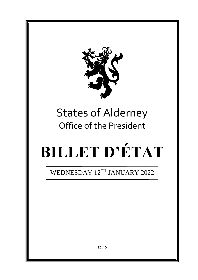

# States of Alderney Office of the President

# **BILLET D'ÉTAT**

WEDNESDAY 12TH JANUARY 2022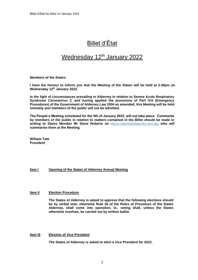## Billet d'État

### Wednesday 12<sup>th</sup> January 2022

**Members of the States:**

**I have the honour to inform you that the Meeting of the States will be held at 2.30pm on Wednesday 12 th January 2022.**

**In the light of circumstances prevailing in Alderney in relation to Severe Acute Respiratory Syndrome Coronavirus 2, and having applied the provisions of Part IVA (Emergency Procedures) of the Government of Alderney Law 2004 as amended, this Meeting will be held remotely and members of the public will not be admitted.** 

**The People's Meeting scheduled for the 5th of January 2022, will not take place. Comments by members of the public in relation to matters contained in the Billet should be made in writing to States Member Mr Steve Roberts on** [steve.roberts@alderney.gov.gg](mailto:steve.roberts@alderney.gov.gg)**, who will summarise them at the Meeting.**

**William Tate President**

#### **Item l Opening of the States of Alderney Annual Meeting**

#### **Item II Election Procedure**

**The States of Alderney is asked to approve that the following elections should be by verbal vote, otherwise Rule 20 of the Rules of Procedure of the States Alderney, shall come into operation, ie., voting shall, unless the States otherwise resolves, be carried out by written ballot.**

#### **Item III Election of Vice President**

**The States of Alderney is asked to elect a Vice President for 2022.**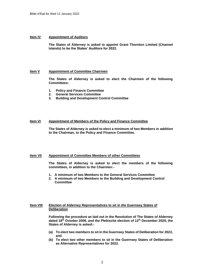#### **Item IV Appointment of Auditors**

**The States of Alderney is asked to appoint Grant Thornton Limited (Channel Islands) to be the States' Auditors for 2022.**

#### **Item V Appointment of Committee Chairmen**

**The States of Alderney is asked to elect the Chairmen of the following Committees:**

- **1. Policy and Finance Committee**
- **2. General Services Committee**
- **3. Building and Development Control Committee**

#### **Item VI Appointment of Members of the Policy and Finance Committee**

**The States of Alderney is asked to elect a minimum of two Members in addition to the Chairman, to the Policy and Finance Committee.**

#### **Item VII Appointment of Committee Members of other Committees**

**The States of Alderney is asked to elect the members of the following committees, in addition to the Chairmen:-**

- **1. A minimum of two Members to the General Services Committee**
- **2. A minimum of two Members to the Building and Development Control Committee**

#### **Item VIII Election of Alderney Representatives to sit in the Guernsey States of Deliberation**

**Following the procedure as laid out in the Resolution of The States of Alderney dated 18th October 2006, and the Plebiscite election of 12th December 2020, the States of Alderney is asked:-**

- **(a) To elect two members to sit in the Guernsey States of Deliberation for 2022, and**
- **(b) To elect two other members to sit in the Guernsey States of Deliberation as Alternative Representatives for 2022.**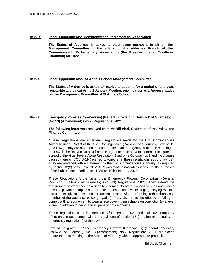#### **Item IX Other Appointments: Commonwealth Parliamentary Association**

**The States of Alderney is asked to elect three members to sit on the Management Committee in the affairs of the Alderney Branch of the Commonwealth Parliamentary Association (the President being Ex-officio Chairman) for 2022.**

#### **Item X Other Appointments:- St Anne's School Management Committee**

**The States of Alderney is asked to resolve to appoint, for a period of one year, renewable at the next Annual January Meeting, one member as a Representative on the Management Committee of St Anne's School.**

#### **Item XI Emergency Powers (Coronavirus) (General Provision) (Bailiwick of Guernsey) (No.13) (Amendment) (No.2) Regulations, 2021**

#### **The following letter was received from Mr Bill Abel, Chairman of the Policy and Finance Committee:-**

"These Regulations are emergency regulations made by the Civil Contingencies Authority under Part 3 of the Civil Contingencies (Bailiwick of Guernsey) Law, 2012 ('the Law"). They are made on the occurrence of an emergency, within the meaning of the Law, in the Bailiwick arising from the urgent need to prevent, control or mitigate the spread of the virus Severe Acute Respiratory Syndrome Coronavirus 2 and the disease caused thereby, COVID-19 (referred to together in these regulations as coronavirus). They are prefaced with a statement by the Civil Contingencies Authority, as required by section 12(2) of the Law. COVID-19 was made a notifiable disease for the purposes of the Public Health Ordinance, 1936 on 10th February 2020.

These Regulations further amend the Emergency Powers (Coronavirus) (General Provision) (Bailiwick of Guernsey) (No. 13) Regulations, 2021. They extend the requirement to wear face coverings to cinemas, theatres, concert venues and places of worship, with exemptions for people in those places while singing, playing musical instruments, giving a reading, preaching or otherwise performing (other than as a member of the audience or congregation). They also make the offence of failing to comply with a requirement to wear a face covering punishable on conviction by a level 2 fine, in addition to being a fixed penalty notice offence.

These Regulations came into force on  $17<sup>th</sup>$  December, 2021, and shall have temporary effect only in accordance with the provisions of section 16 (duration and scrutiny of emergency regulations) of the Law.

I would be grateful if "The Emergency Powers (Coronavirus) (General Provision) (Bailiwick of Guernsey) (No.13) (Amendment) (No.2) Regulations, 2021" are placed before the next meeting of the States of Alderney with an appropriate proposition.

Bill Abel, Chairman"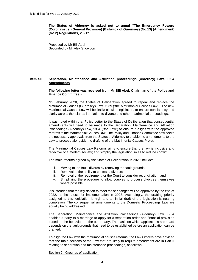**The States of Alderney is asked not to annul "The Emergency Powers (Coronavirus) (General Provision) (Bailiwick of Guernsey) (No.13) (Amendment) (No.2) Regulations, 2021"**

Proposed by Mr Bill Abel Seconded by Mr Alex Snowdon

#### **Item XII Separation, Maintenance and Affiliation proceedings (Alderney) Law, 1964 Amendments**

#### **The following letter was received from Mr Bill Abel, Chairman of the Policy and Finance Committee:-**

"In February 2020, the States of Deliberation agreed to repeal and replace the Matrimonial Causes (Guernsey) Law, 1939 ("the Matrimonial Causes Law"). The new Matrimonial Causes Law will be Bailiwick wide legislation, to ensure consistency and clarity across the Islands in relation to divorce and other matrimonial proceedings.

It was noted within that Policy Letter to the States of Deliberation that consequential amendments will need to be made to the Separation, Maintenance and Affiliation Proceedings (Alderney) Law, 1964 ("the Law") to ensure it aligns with the approved reforms to the Matrimonial Causes Law. The Policy and Finance Committee now seeks the necessary approvals from the States of Alderney to enable the amendments to the Law to proceed alongside the drafting of the Matrimonial Causes Projet.

The Matrimonial Causes Law Reforms aims to ensure that the law is inclusive and reflective of a modern society; and simplify the legislation so as to reduce conflict.

The main reforms agreed by the States of Deliberation in 2020 include:

- i. Moving to 'no fault' divorce by removing the fault grounds;
- ii. Removal of the ability to contest a divorce;
- iii. Removal of the requirement for the Court to consider reconciliation; and
- iv. Simplifying the procedure to allow couples to process divorces themselves where possible.

It is intended that the legislation to meet these changes will be approved by the end of 2022, at the latest, for implementation in 2023. Accordingly, the drafting priority assigned to this legislation is high and an initial draft of the legislation is nearing completion. The consequential amendments to the Domestic Proceedings Law are equally being addressed.

The Separation, Maintenance and Affiliation Proceedings (Alderney) Law, 1964 enables a party to a marriage to apply for a separation order and financial provision based on the behaviour of the other party. The basis on which applications are heard depends on the fault grounds that need to be established before an application can be granted.

To align the Law with the matrimonial causes reforms, the Law Officers have advised that the main sections of the Law that are likely to require amendment are in Part II relating to separation and maintenance proceedings, as follows:

Section 2 : Grounds of application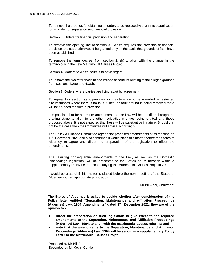To remove the grounds for obtaining an order, to be replaced with a simple application for an order for separation and financial provision.

#### Section 3: Orders for financial provision and separation

To remove the opening line of section 3.1 which requires the provision of financial provision and separation would be granted only on the basis that grounds of fault have been established.

To remove the term 'decree' from section 2.1(b) to align with the change in the terminology in the new Matrimonial Causes Projet.

#### Section 4: Matters to which court is to have regard

To remove the two references to occurrence of conduct relating to the alleged grounds from sections 4.2(c) and 4.3(d).

#### Section 7: Orders where parties are living apart by agreement

To repeal this section as it provides for maintenance to be awarded in restricted circumstances where there is no fault. Since the fault ground is being removed there will be no need for such a provision.

It is possible that further minor amendments to the Law will be identified through the drafting stage to align to the other legislative changes being drafted and those proposed above. It is not expected that these will be substantive in nature. Should that not be the case then the Committee will advise accordingly.

The Policy & Finance Committee agreed the proposed amendments at its meeting on 16<sup>th</sup> December 2021 and also confirmed it would place this matter before the States of Alderney to agree and direct the preparation of the legislation to effect the amendments.

The resulting consequential amendments to the Law, as well as the Domestic Proceedings legislation, will be presented to the States of Deliberation within a supplementary Policy Letter accompanying the Matrimonial Causes Projet in 2022.

I would be grateful if this matter is placed before the next meeting of the States of Alderney with an appropriate proposition.

Mr Bill Abel, Chairman"

**The States of Alderney is asked to decide whether after consideration of the Policy letter entitled "Separation, Maintenance and Affiliation Proceedings (Alderney) Law, 1964, Amendments" dated 17th December 2021, they are of the opinion to:-**

- **i. Direct the preparation of such legislation to give effect to the required amendments to the Separation, Maintenance and Affiliation Proceedings (Alderney) Law, 1964, to align with the matrimonial causes reforms; and**
- **ii. note that the amendments to the Separation, Maintenance and Affiliation Proceedings (Alderney) Law, 1964 will be set out in a supplementary Policy Letter to the Matrimonial Causes Projet.**

Proposed by Mr Bill Abel Seconded by Mr Kevin Gentle